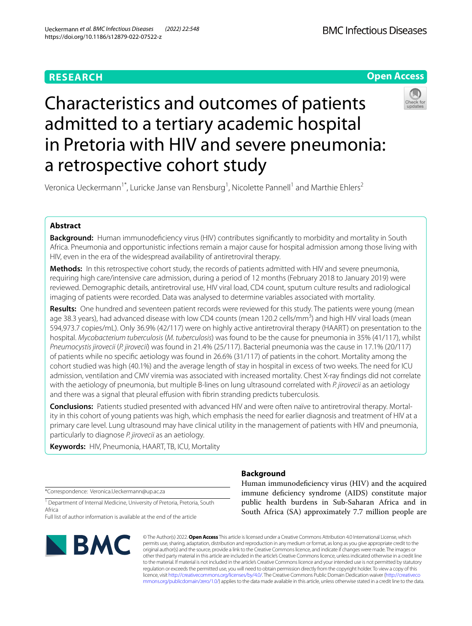## **RESEARCH**



# Characteristics and outcomes of patients admitted to a tertiary academic hospital in Pretoria with HIV and severe pneumonia: a retrospective cohort study



Veronica Ueckermann<sup>1\*</sup>, Luricke Janse van Rensburg<sup>1</sup>, Nicolette Pannell<sup>1</sup> and Marthie Ehlers<sup>2</sup>

## **Abstract**

**Background:** Human immunodefciency virus (HIV) contributes signifcantly to morbidity and mortality in South Africa. Pneumonia and opportunistic infections remain a major cause for hospital admission among those living with HIV, even in the era of the widespread availability of antiretroviral therapy.

**Methods:** In this retrospective cohort study, the records of patients admitted with HIV and severe pneumonia, requiring high care/intensive care admission, during a period of 12 months (February 2018 to January 2019) were reviewed. Demographic details, antiretroviral use, HIV viral load, CD4 count, sputum culture results and radiological imaging of patients were recorded. Data was analysed to determine variables associated with mortality.

**Results:** One hundred and seventeen patient records were reviewed for this study. The patients were young (mean age 38.3 years), had advanced disease with low CD4 counts (mean 120.2 cells/mm<sup>3</sup>) and high HIV viral loads (mean 594,973.7 copies/mL). Only 36.9% (42/117) were on highly active antiretroviral therapy (HAART) on presentation to the hospital. *Mycobacterium tuberculosis* (*M. tuberculosis*) was found to be the cause for pneumonia in 35% (41/117), whilst *Pneumocystis jirovecii* (*P. jirovecii*) was found in 21.4% (25/117). Bacterial pneumonia was the cause in 17.1% (20/117) of patients while no specifc aetiology was found in 26.6% (31/117) of patients in the cohort. Mortality among the cohort studied was high (40.1%) and the average length of stay in hospital in excess of two weeks. The need for ICU admission, ventilation and CMV viremia was associated with increased mortality. Chest X-ray fndings did not correlate with the aetiology of pneumonia, but multiple B-lines on lung ultrasound correlated with *P. jirovecii* as an aetiology and there was a signal that pleural effusion with fibrin stranding predicts tuberculosis.

**Conclusions:** Patients studied presented with advanced HIV and were often naïve to antiretroviral therapy. Mortality in this cohort of young patients was high, which emphasis the need for earlier diagnosis and treatment of HIV at a primary care level. Lung ultrasound may have clinical utility in the management of patients with HIV and pneumonia, particularly to diagnose *P. jirovecii* as an aetiology.

**Keywords:** HIV, Pneumonia, HAART, TB, ICU, Mortality

\*Correspondence: Veronica.Ueckermann@up.ac.za

<sup>1</sup> Department of Internal Medicine, University of Pretoria, Pretoria, South Africa

Full list of author information is available at the end of the article



## **Background**

Human immunodefciency virus (HIV) and the acquired immune defciency syndrome (AIDS) constitute major public health burdens in Sub-Saharan Africa and in South Africa (SA) approximately 7.7 million people are

© The Author(s) 2022. **Open Access** This article is licensed under a Creative Commons Attribution 4.0 International License, which permits use, sharing, adaptation, distribution and reproduction in any medium or format, as long as you give appropriate credit to the original author(s) and the source, provide a link to the Creative Commons licence, and indicate if changes were made. The images or other third party material in this article are included in the article's Creative Commons licence, unless indicated otherwise in a credit line to the material. If material is not included in the article's Creative Commons licence and your intended use is not permitted by statutory regulation or exceeds the permitted use, you will need to obtain permission directly from the copyright holder. To view a copy of this licence, visit [http://creativecommons.org/licenses/by/4.0/.](http://creativecommons.org/licenses/by/4.0/) The Creative Commons Public Domain Dedication waiver ([http://creativeco](http://creativecommons.org/publicdomain/zero/1.0/) [mmons.org/publicdomain/zero/1.0/](http://creativecommons.org/publicdomain/zero/1.0/)) applies to the data made available in this article, unless otherwise stated in a credit line to the data.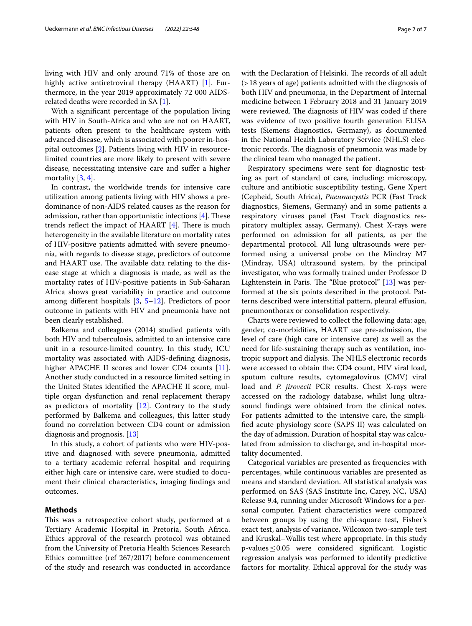living with HIV and only around 71% of those are on highly active antiretroviral therapy (HAART) [\[1](#page-6-0)]. Furthermore, in the year 2019 approximately 72 000 AIDSrelated deaths were recorded in SA [[1\]](#page-6-0).

With a signifcant percentage of the population living with HIV in South-Africa and who are not on HAART, patients often present to the healthcare system with advanced disease, which is associated with poorer in-hospital outcomes [[2\]](#page-6-1). Patients living with HIV in resourcelimited countries are more likely to present with severe disease, necessitating intensive care and sufer a higher mortality [\[3](#page-6-2), [4\]](#page-6-3).

In contrast, the worldwide trends for intensive care utilization among patients living with HIV shows a predominance of non-AIDS related causes as the reason for admission, rather than opportunistic infections  $[4]$  $[4]$ . These trends reflect the impact of HAART  $[4]$  $[4]$ . There is much heterogeneity in the available literature on mortality rates of HIV-positive patients admitted with severe pneumonia, with regards to disease stage, predictors of outcome and HAART use. The available data relating to the disease stage at which a diagnosis is made, as well as the mortality rates of HIV-positive patients in Sub-Saharan Africa shows great variability in practice and outcome among diferent hospitals [\[3](#page-6-2), [5](#page-6-4)[–12](#page-6-5)]. Predictors of poor outcome in patients with HIV and pneumonia have not been clearly established.

Balkema and colleagues (2014) studied patients with both HIV and tuberculosis, admitted to an intensive care unit in a resource-limited country. In this study, ICU mortality was associated with AIDS-defning diagnosis, higher APACHE II scores and lower CD4 counts [\[11](#page-6-6)]. Another study conducted in a resource limited setting in the United States identifed the APACHE II score, multiple organ dysfunction and renal replacement therapy as predictors of mortality  $[12]$  $[12]$ . Contrary to the study performed by Balkema and colleagues, this latter study found no correlation between CD4 count or admission diagnosis and prognosis. [[13](#page-6-7)]

In this study, a cohort of patients who were HIV-positive and diagnosed with severe pneumonia, admitted to a tertiary academic referral hospital and requiring either high care or intensive care, were studied to document their clinical characteristics, imaging fndings and outcomes.

## **Methods**

This was a retrospective cohort study, performed at a Tertiary Academic Hospital in Pretoria, South Africa. Ethics approval of the research protocol was obtained from the University of Pretoria Health Sciences Research Ethics committee (ref 267/2017) before commencement of the study and research was conducted in accordance with the Declaration of Helsinki. The records of all adult (>18 years of age) patients admitted with the diagnosis of both HIV and pneumonia, in the Department of Internal medicine between 1 February 2018 and 31 January 2019 were reviewed. The diagnosis of HIV was coded if there was evidence of two positive fourth generation ELISA tests (Siemens diagnostics, Germany), as documented in the National Health Laboratory Service (NHLS) electronic records. The diagnosis of pneumonia was made by the clinical team who managed the patient.

Respiratory specimens were sent for diagnostic testing as part of standard of care, including: microscopy, culture and antibiotic susceptibility testing, Gene Xpert (Cepheid, South Africa), *Pneumocystis* PCR (Fast Track diagnostics, Siemens, Germany) and in some patients a respiratory viruses panel (Fast Track diagnostics respiratory multiplex assay, Germany). Chest X-rays were performed on admission for all patients, as per the departmental protocol. All lung ultrasounds were performed using a universal probe on the Mindray M7 (Mindray, USA) ultrasound system, by the principal investigator, who was formally trained under Professor D Lightenstein in Paris. The "Blue protocol"  $[13]$  $[13]$  was performed at the six points described in the protocol. Patterns described were interstitial pattern, pleural efusion, pneumonthorax or consolidation respectively.

Charts were reviewed to collect the following data: age, gender, co-morbidities, HAART use pre-admission, the level of care (high care or intensive care) as well as the need for life-sustaining therapy such as ventilation, inotropic support and dialysis. The NHLS electronic records were accessed to obtain the: CD4 count, HIV viral load, sputum culture results, cytomegalovirus (CMV) viral load and *P. jirovecii* PCR results. Chest X-rays were accessed on the radiology database, whilst lung ultrasound fndings were obtained from the clinical notes. For patients admitted to the intensive care, the simplifed acute physiology score (SAPS II) was calculated on the day of admission. Duration of hospital stay was calculated from admission to discharge, and in-hospital mortality documented.

Categorical variables are presented as frequencies with percentages, while continuous variables are presented as means and standard deviation. All statistical analysis was performed on SAS (SAS Institute Inc, Carey, NC, USA) Release 9.4, running under Microsoft Windows for a personal computer. Patient characteristics were compared between groups by using the chi-square test, Fisher's exact test, analysis of variance, Wilcoxon two-sample test and Kruskal–Wallis test where appropriate. In this study p-values≤0.05 were considered signifcant. Logistic regression analysis was performed to identify predictive factors for mortality. Ethical approval for the study was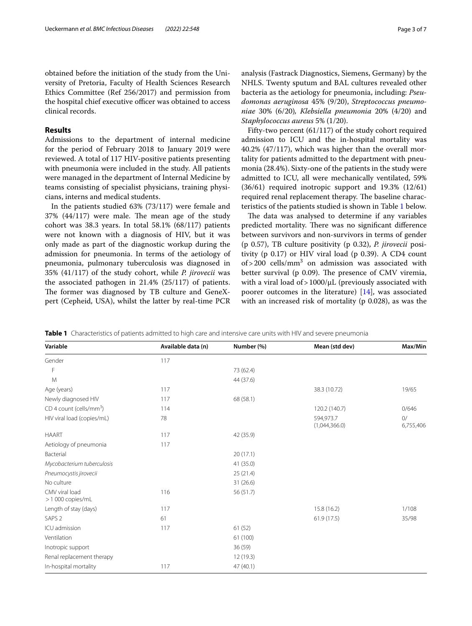obtained before the initiation of the study from the University of Pretoria, Faculty of Health Sciences Research Ethics Committee (Ref 256/2017) and permission from the hospital chief executive officer was obtained to access clinical records.

## **Results**

Admissions to the department of internal medicine for the period of February 2018 to January 2019 were reviewed. A total of 117 HIV-positive patients presenting with pneumonia were included in the study. All patients were managed in the department of Internal Medicine by teams consisting of specialist physicians, training physicians, interns and medical students.

In the patients studied 63% (73/117) were female and  $37\%$  (44/117) were male. The mean age of the study cohort was 38.3 years. In total 58.1% (68/117) patients were not known with a diagnosis of HIV, but it was only made as part of the diagnostic workup during the admission for pneumonia. In terms of the aetiology of pneumonia, pulmonary tuberculosis was diagnosed in 35% (41/117) of the study cohort, while *P. jirovecii* was the associated pathogen in 21.4% (25/117) of patients. The former was diagnosed by TB culture and GeneXpert (Cepheid, USA), whilst the latter by real-time PCR analysis (Fastrack Diagnostics, Siemens, Germany) by the NHLS. Twenty sputum and BAL cultures revealed other bacteria as the aetiology for pneumonia, including: *Pseudomonas aeruginosa* 45% (9/20), *Streptococcus pneumoniae* 30% (6/20)*, Klebsiella pneumonia* 20% (4/20) and *Staphylococcus aureus* 5% (1/20).

Fifty-two percent (61/117) of the study cohort required admission to ICU and the in-hospital mortality was 40.2% (47/117), which was higher than the overall mortality for patients admitted to the department with pneumonia (28.4%). Sixty-one of the patients in the study were admitted to ICU, all were mechanically ventilated, 59% (36/61) required inotropic support and 19.3% (12/61) required renal replacement therapy. The baseline characteristics of the patients studied is shown in Table [1](#page-2-0) below.

The data was analysed to determine if any variables predicted mortality. There was no significant difference between survivors and non-survivors in terms of gender (p 0.57), TB culture positivity (p 0.32), *P. jirovecii* positivity (p 0.17) or HIV viral load (p 0.39). A CD4 count of > 200 cells/mm<sup>3</sup> on admission was associated with better survival (p  $0.09$ ). The presence of CMV viremia, with a viral load of  $>1000/\mu$ L (previously associated with poorer outcomes in the literature) [[14](#page-6-8)], was associated with an increased risk of mortality (p 0.028), as was the

<span id="page-2-0"></span>

|  |  | Table 1 Characteristics of patients admitted to high care and intensive care units with HIV and severe pneumonia |  |
|--|--|------------------------------------------------------------------------------------------------------------------|--|
|  |  |                                                                                                                  |  |

| Variable                              | Available data (n) | Number (%) | Mean (std dev)             | Max/Min         |
|---------------------------------------|--------------------|------------|----------------------------|-----------------|
| Gender                                | 117                |            |                            |                 |
| F                                     |                    | 73 (62.4)  |                            |                 |
| M                                     |                    | 44 (37.6)  |                            |                 |
| Age (years)                           | 117                |            | 38.3 (10.72)               | 19/65           |
| Newly diagnosed HIV                   | 117                | 68 (58.1)  |                            |                 |
| $CD$ 4 count (cells/mm <sup>3</sup> ) | 114                |            | 120.2 (140.7)              | 0/646           |
| HIV viral load (copies/mL)            | 78                 |            | 594,973.7<br>(1,044,366.0) | 0/<br>6,755,406 |
| <b>HAART</b>                          | 117                | 42 (35.9)  |                            |                 |
| Aetiology of pneumonia                | 117                |            |                            |                 |
| Bacterial                             |                    | 20(17.1)   |                            |                 |
| Mycobacterium tuberculosis            |                    | 41 (35.0)  |                            |                 |
| Pneumocystis jirovecii                |                    | 25(21.4)   |                            |                 |
| No culture                            |                    | 31(26.6)   |                            |                 |
| CMV viral load<br>>1 000 copies/mL    | 116                | 56 (51.7)  |                            |                 |
| Length of stay (days)                 | 117                |            | 15.8(16.2)                 | 1/108           |
| SAPS <sub>2</sub>                     | 61                 |            | 61.9(17.5)                 | 35/98           |
| ICU admission                         | 117                | 61(52)     |                            |                 |
| Ventilation                           |                    | 61 (100)   |                            |                 |
| Inotropic support                     |                    | 36 (59)    |                            |                 |
| Renal replacement therapy             |                    | 12 (19.3)  |                            |                 |
| In-hospital mortality<br>117          |                    | 47(40.1)   |                            |                 |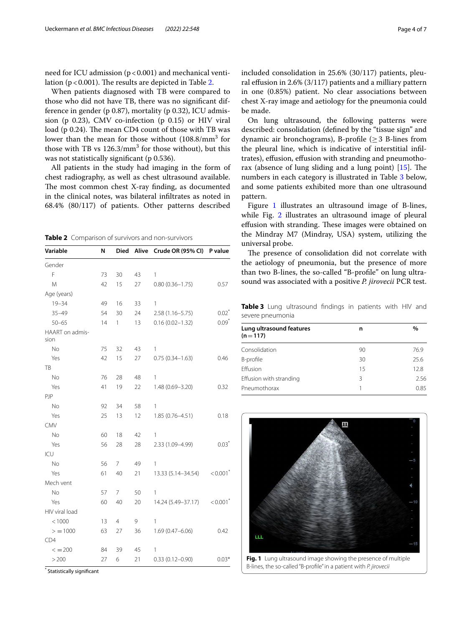need for ICU admission  $(p < 0.001)$  and mechanical ventilation ( $p < 0.001$ ). The results are depicted in Table [2.](#page-3-0)

When patients diagnosed with TB were compared to those who did not have TB, there was no signifcant difference in gender (p 0.87), mortality (p 0.32), ICU admission (p 0.23), CMV co-infection (p 0.15) or HIV viral load (p 0.24). The mean CD4 count of those with TB was lower than the mean for those without (108.8/mm<sup>3</sup> for those with TB vs  $126.3/\text{mm}^3$  for those without), but this was not statistically significant (p 0.536).

All patients in the study had imaging in the form of chest radiography, as well as chest ultrasound available. The most common chest X-ray finding, as documented in the clinical notes, was bilateral infltrates as noted in 68.4% (80/117) of patients. Other patterns described

<span id="page-3-0"></span>**Table 2** Comparison of survivors and non-survivors

| Variable                | Ν  | <b>Died</b>    |    | Alive Crude OR (95% CI) | P value                |
|-------------------------|----|----------------|----|-------------------------|------------------------|
| Gender                  |    |                |    |                         |                        |
| F                       | 73 | 30             | 43 | 1                       |                        |
| M                       | 42 | 15             | 27 | $0.80(0.36 - 1.75)$     | 0.57                   |
| Age (years)             |    |                |    |                         |                        |
| $19 - 34$               | 49 | 16             | 33 | 1                       |                        |
| $35 - 49$               | 54 | 30             | 24 | 2.58 (1.16-5.75)        | $0.02^*$               |
| $50 - 65$               | 14 | 1              | 13 | $0.16(0.02 - 1.32)$     | $0.09*$                |
| HAART on admis-<br>sion |    |                |    |                         |                        |
| No                      | 75 | 32             | 43 | 1                       |                        |
| Yes                     | 42 | 15             | 27 | $0.75(0.34 - 1.63)$     | 0.46                   |
| TB                      |    |                |    |                         |                        |
| No                      | 76 | 28             | 48 | 1                       |                        |
| Yes                     | 41 | 19             | 22 | 1.48 (0.69-3.20)        | 0.32                   |
| PJP                     |    |                |    |                         |                        |
| No                      | 92 | 34             | 58 | 1                       |                        |
| Yes                     | 25 | 13             | 12 | 1.85 (0.76-4.51)        | 0.18                   |
| CMV                     |    |                |    |                         |                        |
| No                      | 60 | 18             | 42 | 1                       |                        |
| Yes                     | 56 | 28             | 28 | 2.33 (1.09-4.99)        | $0.03*$                |
| ICU                     |    |                |    |                         |                        |
| No                      | 56 | 7              | 49 | 1                       |                        |
| Yes                     | 61 | 40             | 21 | 13.33 (5.14-34.54)      | $< 0.001$ <sup>*</sup> |
| Mech vent               |    |                |    |                         |                        |
| <b>No</b>               | 57 | 7              | 50 | 1                       |                        |
| Yes                     | 60 | 40             | 20 | 14.24 (5.49-37.17)      | $< 0.001$ <sup>*</sup> |
| HIV viral load          |    |                |    |                         |                        |
| < 1000                  | 13 | $\overline{4}$ | 9  | 1                       |                        |
| > 1000                  | 63 | 27             | 36 | $1.69(0.47 - 6.06)$     | 0.42                   |
| CD4                     |    |                |    |                         |                        |
| $\leq$ = 200            | 84 | 39             | 45 | 1                       |                        |
| >200                    | 27 | 6              | 21 | $0.33(0.12 - 0.90)$     | $0.03*$                |

\* Statistically signifcant

included consolidation in 25.6% (30/117) patients, pleural efusion in 2.6% (3/117) patients and a milliary pattern in one (0.85%) patient. No clear associations between chest X-ray image and aetiology for the pneumonia could be made.

On lung ultrasound, the following patterns were described: consolidation (defned by the "tissue sign" and dynamic air bronchograms), B-profle (≥3 B-lines from the pleural line, which is indicative of interstitial infltrates), effusion, effusion with stranding and pneumothorax (absence of lung sliding and a lung point)  $[15]$  $[15]$ . The numbers in each category is illustrated in Table [3](#page-3-1) below, and some patients exhibited more than one ultrasound pattern.

Figure [1](#page-3-2) illustrates an ultrasound image of B-lines, while Fig. [2](#page-4-0) illustrates an ultrasound image of pleural effusion with stranding. These images were obtained on the Mindray M7 (Mindray, USA) system, utilizing the universal probe.

The presence of consolidation did not correlate with the aetiology of pneumonia, but the presence of more than two B-lines, the so-called "B-profle" on lung ultrasound was associated with a positive *P. jirovecii* PCR test.

<span id="page-3-1"></span>**Table 3** Lung ultrasound fndings in patients with HIV and severe pneumonia

| Lung ultrasound features<br>$(n=117)$ | n  | $\%$ |
|---------------------------------------|----|------|
| Consolidation                         | 90 | 76.9 |
| B-profile                             | 30 | 25.6 |
| Fffusion                              | 15 | 12.8 |
| Effusion with stranding               | ζ  | 2.56 |
| Pneumothorax                          |    | 0.85 |

<span id="page-3-2"></span>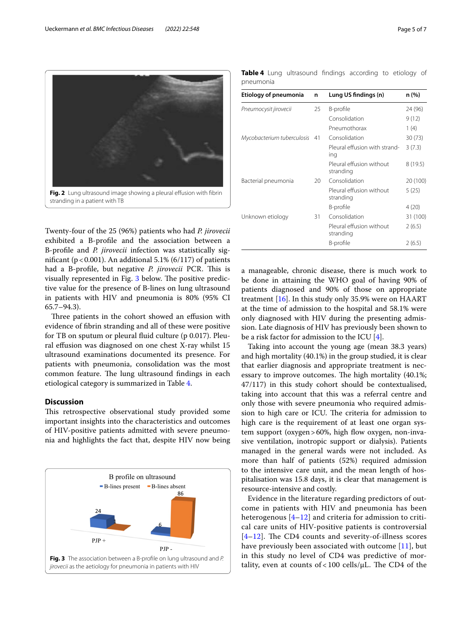

<span id="page-4-0"></span>Twenty-four of the 25 (96%) patients who had *P. jirovecii* exhibited a B-profle and the association between a B-profle and *P. jirovecii* infection was statistically significant ( $p < 0.001$ ). An additional 5.1% (6/117) of patients had a B-profile, but negative *P. jirovecii* PCR. This is visually represented in Fig. [3](#page-4-1) below. The positive predictive value for the presence of B-lines on lung ultrasound in patients with HIV and pneumonia is 80% (95% CI 65.7–94.3).

Three patients in the cohort showed an effusion with evidence of fbrin stranding and all of these were positive for TB on sputum or pleural fuid culture (p 0.017). Pleural efusion was diagnosed on one chest X-ray whilst 15 ultrasound examinations documented its presence. For patients with pneumonia, consolidation was the most common feature. The lung ultrasound findings in each etiological category is summarized in Table [4](#page-4-2).

## **Discussion**

This retrospective observational study provided some important insights into the characteristics and outcomes of HIV-positive patients admitted with severe pneumonia and highlights the fact that, despite HIV now being

<span id="page-4-1"></span>

<span id="page-4-2"></span>**Table 4** Lung ultrasound fndings according to etiology of pneumonia

| Etiology of pneumonia         | n  | Lung US findings (n)                  | n (%)    |
|-------------------------------|----|---------------------------------------|----------|
| Pneumocysit jirovecii         | 25 | B-profile                             | 24 (96)  |
|                               |    | Consolidation                         | 9(12)    |
|                               |    | Pneumothorax                          | 1(4)     |
| Mycobacterium tuberculosis 41 |    | Consolidation                         | 30(73)   |
|                               |    | Pleural effusion with strand-<br>ing  | 3(7.3)   |
|                               |    | Pleural effusion without<br>stranding | 8(19.5)  |
| Bacterial pneumonia           | 20 | Consolidation                         | 20 (100) |
|                               |    | Pleural effusion without<br>stranding | 5 (25)   |
|                               |    | B-profile                             | 4(20)    |
| Unknown etiology              | 31 | Consolidation                         | 31 (100) |
|                               |    | Pleural effusion without<br>stranding | 2(6.5)   |
|                               |    | B-profile                             | 2(6.5)   |

a manageable, chronic disease, there is much work to be done in attaining the WHO goal of having 90% of patients diagnosed and 90% of those on appropriate treatment  $[16]$  $[16]$ . In this study only 35.9% were on HAART at the time of admission to the hospital and 58.1% were only diagnosed with HIV during the presenting admission. Late diagnosis of HIV has previously been shown to be a risk factor for admission to the ICU [\[4](#page-6-3)].

Taking into account the young age (mean 38.3 years) and high mortality (40.1%) in the group studied, it is clear that earlier diagnosis and appropriate treatment is necessary to improve outcomes. The high mortality (40.1%; 47/117) in this study cohort should be contextualised, taking into account that this was a referral centre and only those with severe pneumonia who required admission to high care or ICU. The criteria for admission to high care is the requirement of at least one organ system support (oxygen>60%, high flow oxygen, non-invasive ventilation, inotropic support or dialysis). Patients managed in the general wards were not included. As more than half of patients (52%) required admission to the intensive care unit, and the mean length of hospitalisation was 15.8 days, it is clear that management is resource-intensive and costly.

Evidence in the literature regarding predictors of outcome in patients with HIV and pneumonia has been heterogenous  $[4-12]$  $[4-12]$  and criteria for admission to critical care units of HIV-positive patients is controversial  $[4–12]$  $[4–12]$  $[4–12]$  $[4–12]$ . The CD4 counts and severity-of-illness scores have previously been associated with outcome  $[11]$  $[11]$ , but in this study no level of CD4 was predictive of mortality, even at counts of < 100 cells/ $\mu$ L. The CD4 of the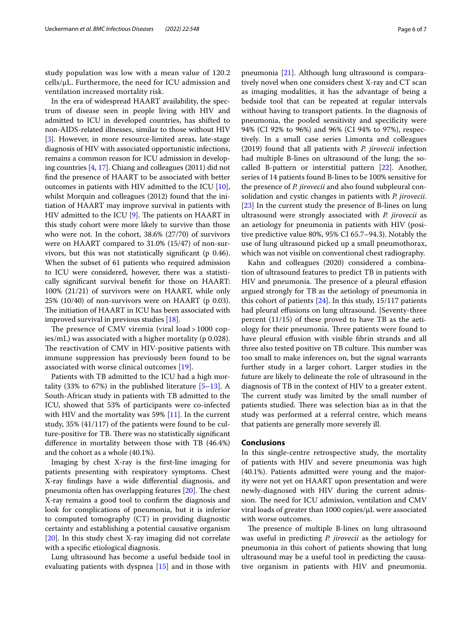study population was low with a mean value of 120.2 cells/µL. Furthermore, the need for ICU admission and ventilation increased mortality risk.

In the era of widespread HAART availability, the spectrum of disease seen in people living with HIV and admitted to ICU in developed countries, has shifted to non-AIDS-related illnesses, similar to those without HIV [[3\]](#page-6-2). However, in more resource-limited areas, late-stage diagnosis of HIV with associated opportunistic infections, remains a common reason for ICU admission in developing countries [[4](#page-6-3), [17\]](#page-6-11). Chiang and colleagues (2011) did not fnd the presence of HAART to be associated with better outcomes in patients with HIV admitted to the ICU  $[10]$  $[10]$ , whilst Morquin and colleagues (2012) found that the initiation of HAART may improve survival in patients with HIV admitted to the ICU  $[9]$  $[9]$ . The patients on HAART in this study cohort were more likely to survive than those who were not. In the cohort, 38.6% (27/70) of survivors were on HAART compared to 31.0% (15/47) of non-survivors, but this was not statistically signifcant (p 0.46). When the subset of 61 patients who required admission to ICU were considered, however, there was a statistically signifcant survival beneft for those on HAART: 100% (21/21) of survivors were on HAART, while only 25% (10/40) of non-survivors were on HAART (p 0.03). The initiation of HAART in ICU has been associated with improved survival in previous studies [\[18](#page-6-14)].

The presence of CMV viremia (viral  $load$  > 1000 copies/mL) was associated with a higher mortality (p 0.028). The reactivation of CMV in HIV-positive patients with immune suppression has previously been found to be associated with worse clinical outcomes [\[19](#page-6-15)].

Patients with TB admitted to the ICU had a high mortality (33% to 67%) in the published literature  $[5-13]$  $[5-13]$  $[5-13]$ . A South-African study in patients with TB admitted to the ICU, showed that 53% of participants were co-infected with HIV and the mortality was  $59\%$  [\[11](#page-6-6)]. In the current study, 35% (41/117) of the patients were found to be culture-positive for TB. There was no statistically significant diference in mortality between those with TB (46.4%) and the cohort as a whole (40.1%).

Imaging by chest X-ray is the frst-line imaging for patients presenting with respiratory symptoms. Chest X-ray fndings have a wide diferential diagnosis, and pneumonia often has overlapping features  $[20]$  $[20]$ . The chest X-ray remains a good tool to confrm the diagnosis and look for complications of pneumonia, but it is inferior to computed tomography (CT) in providing diagnostic certainty and establishing a potential causative organism [[20\]](#page-6-16). In this study chest X-ray imaging did not correlate with a specifc etiological diagnosis.

Lung ultrasound has become a useful bedside tool in evaluating patients with dyspnea [[15\]](#page-6-9) and in those with pneumonia [\[21\]](#page-6-17). Although lung ultrasound is comparatively novel when one considers chest X-ray and CT scan as imaging modalities, it has the advantage of being a bedside tool that can be repeated at regular intervals without having to transport patients. In the diagnosis of pneumonia, the pooled sensitivity and specifcity were 94% (CI 92% to 96%) and 96% (CI 94% to 97%), respectively. In a small case series Limonta and colleagues (2019) found that all patients with *P. jirovecii* infection had multiple B-lines on ultrasound of the lung; the socalled B-pattern or interstitial pattern [[22](#page-6-18)]. Another, series of 14 patients found B-lines to be 100% sensitive for the presence of *P. jirovecii* and also found subpleural consolidation and cystic changes in patients with *P. jirovecii*. [[23\]](#page-6-19) In the current study the presence of B-lines on lung ultrasound were strongly associated with *P. jirovecii* as an aetiology for pneumonia in patients with HIV (positive predictive value 80%, 95% CI 65.7–94.3). Notably the use of lung ultrasound picked up a small pneumothorax, which was not visible on conventional chest radiography.

Kahn and colleagues (2020) considered a combination of ultrasound features to predict TB in patients with HIV and pneumonia. The presence of a pleural effusion argued strongly for TB as the aetiology of pneumonia in this cohort of patients [[24](#page-6-20)]. In this study, 15/117 patients had pleural effusions on lung ultrasound. Seventy-three percent (11/15) of these proved to have TB as the aetiology for their pneumonia. Three patients were found to have pleural effusion with visible fibrin strands and all three also tested positive on TB culture. This number was too small to make inferences on, but the signal warrants further study in a larger cohort. Larger studies in the future are likely to delineate the role of ultrasound in the diagnosis of TB in the context of HIV to a greater extent. The current study was limited by the small number of patients studied. There was selection bias as in that the study was performed at a referral centre, which means that patients are generally more severely ill.

#### **Conclusions**

In this single-centre retrospective study, the mortality of patients with HIV and severe pneumonia was high (40.1%). Patients admitted were young and the majority were not yet on HAART upon presentation and were newly-diagnosed with HIV during the current admission. The need for ICU admission, ventilation and CMV viral loads of greater than 1000 copies/µL were associated with worse outcomes.

The presence of multiple B-lines on lung ultrasound was useful in predicting *P. jirovecii* as the aetiology for pneumonia in this cohort of patients showing that lung ultrasound may be a useful tool in predicting the causative organism in patients with HIV and pneumonia.